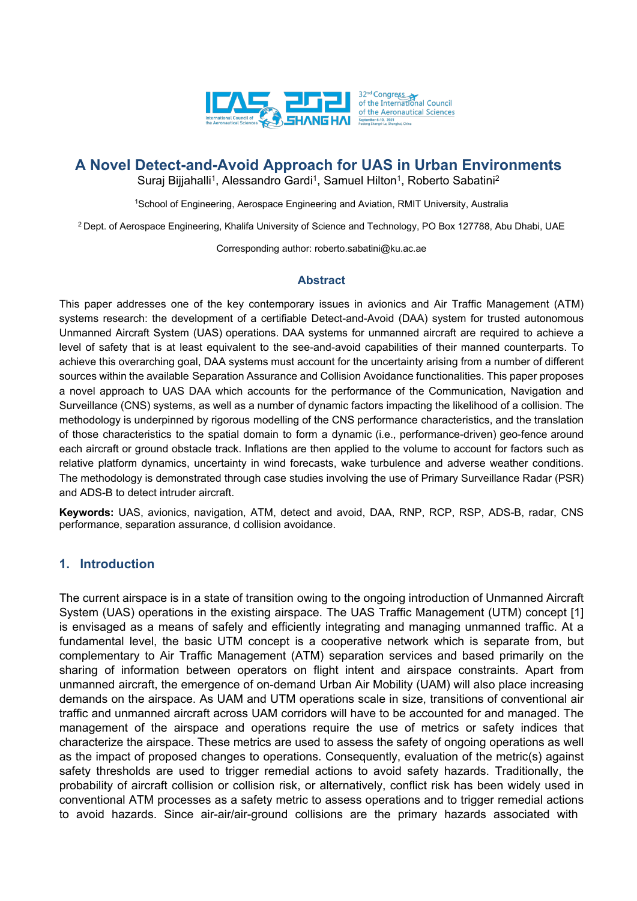

# **A Novel Detect-and-Avoid Approach for UAS in Urban Environments**

Suraj Bijjahalli<sup>1</sup>, Alessandro Gardi<sup>1</sup>, Samuel Hilton<sup>1</sup>, Roberto Sabatini<sup>2</sup>

<sup>1</sup>School of Engineering, Aerospace Engineering and Aviation, RMIT University, Australia

<sup>2</sup> Dept. of Aerospace Engineering, Khalifa University of Science and Technology, PO Box 127788, Abu Dhabi, UAE

Corresponding author: roberto.sabatini@ku.ac.ae

#### **Abstract**

This paper addresses one of the key contemporary issues in avionics and Air Traffic Management (ATM) systems research: the development of a certifiable Detect-and-Avoid (DAA) system for trusted autonomous Unmanned Aircraft System (UAS) operations. DAA systems for unmanned aircraft are required to achieve a level of safety that is at least equivalent to the see-and-avoid capabilities of their manned counterparts. To achieve this overarching goal, DAA systems must account for the uncertainty arising from a number of different sources within the available Separation Assurance and Collision Avoidance functionalities. This paper proposes a novel approach to UAS DAA which accounts for the performance of the Communication, Navigation and Surveillance (CNS) systems, as well as a number of dynamic factors impacting the likelihood of a collision. The methodology is underpinned by rigorous modelling of the CNS performance characteristics, and the translation of those characteristics to the spatial domain to form a dynamic (i.e., performance-driven) geo-fence around each aircraft or ground obstacle track. Inflations are then applied to the volume to account for factors such as relative platform dynamics, uncertainty in wind forecasts, wake turbulence and adverse weather conditions. The methodology is demonstrated through case studies involving the use of Primary Surveillance Radar (PSR) and ADS-B to detect intruder aircraft.

**Keywords:** UAS, avionics, navigation, ATM, detect and avoid, DAA, RNP, RCP, RSP, ADS-B, radar, CNS performance, separation assurance, d collision avoidance.

### **1. Introduction**

The current airspace is in a state of transition owing to the ongoing introduction of Unmanned Aircraft System (UAS) operations in the existing airspace. The UAS Traffic Management (UTM) concept [1] is envisaged as a means of safely and efficiently integrating and managing unmanned traffic. At a fundamental level, the basic UTM concept is a cooperative network which is separate from, but complementary to Air Traffic Management (ATM) separation services and based primarily on the sharing of information between operators on flight intent and airspace constraints. Apart from unmanned aircraft, the emergence of on-demand Urban Air Mobility (UAM) will also place increasing demands on the airspace. As UAM and UTM operations scale in size, transitions of conventional air traffic and unmanned aircraft across UAM corridors will have to be accounted for and managed. The management of the airspace and operations require the use of metrics or safety indices that characterize the airspace. These metrics are used to assess the safety of ongoing operations as well as the impact of proposed changes to operations. Consequently, evaluation of the metric(s) against safety thresholds are used to trigger remedial actions to avoid safety hazards. Traditionally, the probability of aircraft collision or collision risk, or alternatively, conflict risk has been widely used in conventional ATM processes as a safety metric to assess operations and to trigger remedial actions to avoid hazards. Since air-air/air-ground collisions are the primary hazards associated with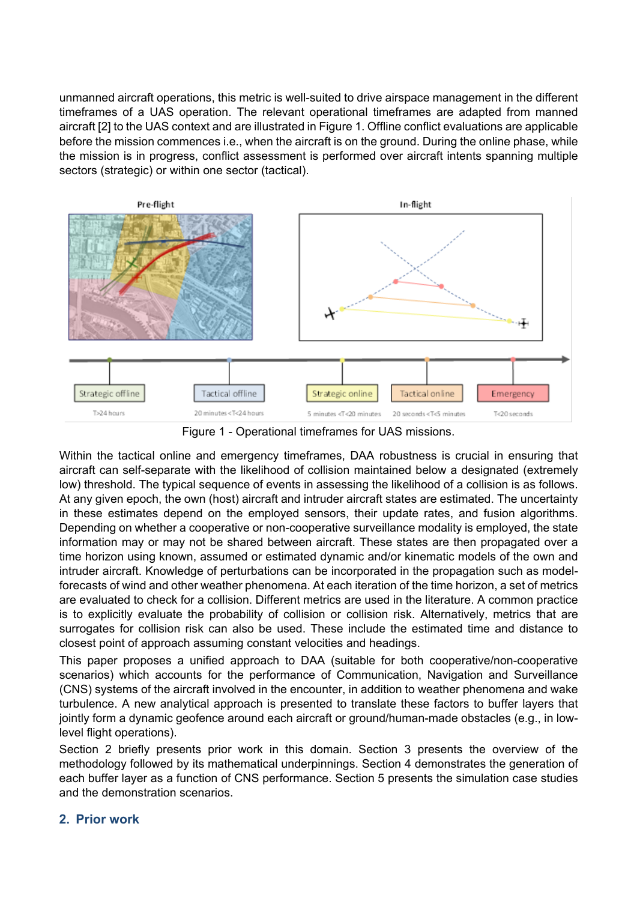unmanned aircraft operations, this metric is well-suited to drive airspace management in the different timeframes of a UAS operation. The relevant operational timeframes are adapted from manned aircraft [2] to the UAS context and are illustrated in [Figure 1.](#page-1-0) Offline conflict evaluations are applicable before the mission commences i.e., when the aircraft is on the ground. During the online phase, while the mission is in progress, conflict assessment is performed over aircraft intents spanning multiple sectors (strategic) or within one sector (tactical).



Figure 1 - Operational timeframes for UAS missions.

<span id="page-1-0"></span>Within the tactical online and emergency timeframes, DAA robustness is crucial in ensuring that aircraft can self-separate with the likelihood of collision maintained below a designated (extremely low) threshold. The typical sequence of events in assessing the likelihood of a collision is as follows. At any given epoch, the own (host) aircraft and intruder aircraft states are estimated. The uncertainty in these estimates depend on the employed sensors, their update rates, and fusion algorithms. Depending on whether a cooperative or non-cooperative surveillance modality is employed, the state information may or may not be shared between aircraft. These states are then propagated over a time horizon using known, assumed or estimated dynamic and/or kinematic models of the own and intruder aircraft. Knowledge of perturbations can be incorporated in the propagation such as modelforecasts of wind and other weather phenomena. At each iteration of the time horizon, a set of metrics are evaluated to check for a collision. Different metrics are used in the literature. A common practice is to explicitly evaluate the probability of collision or collision risk. Alternatively, metrics that are surrogates for collision risk can also be used. These include the estimated time and distance to closest point of approach assuming constant velocities and headings.

This paper proposes a unified approach to DAA (suitable for both cooperative/non-cooperative scenarios) which accounts for the performance of Communication, Navigation and Surveillance (CNS) systems of the aircraft involved in the encounter, in addition to weather phenomena and wake turbulence. A new analytical approach is presented to translate these factors to buffer layers that jointly form a dynamic geofence around each aircraft or ground/human-made obstacles (e.g., in lowlevel flight operations).

Section 2 briefly presents prior work in this domain. Section 3 presents the overview of the methodology followed by its mathematical underpinnings. Section 4 demonstrates the generation of each buffer layer as a function of CNS performance. Section 5 presents the simulation case studies and the demonstration scenarios.

## **2. Prior work**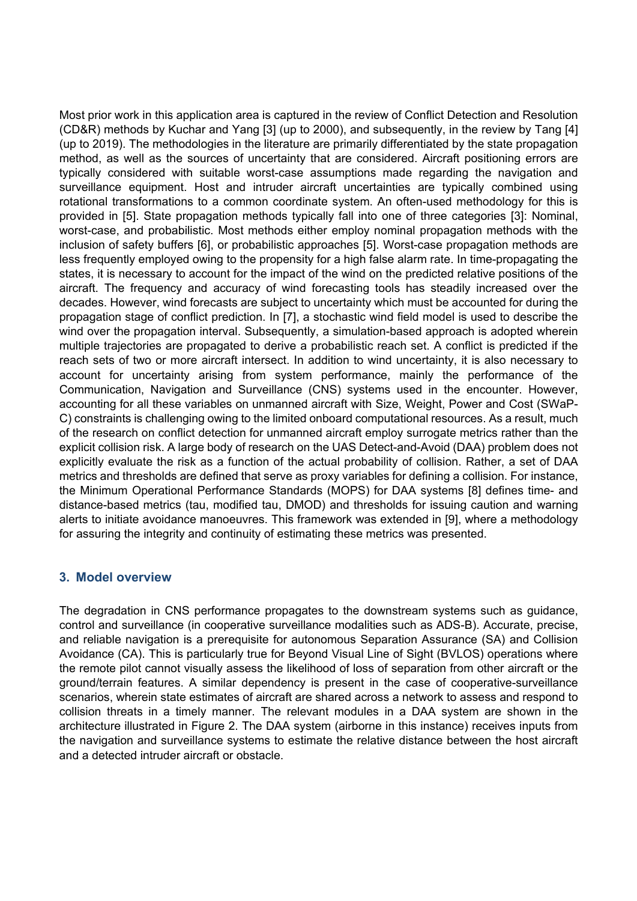Most prior work in this application area is captured in the review of Conflict Detection and Resolution (CD&R) methods by Kuchar and Yang [3] (up to 2000), and subsequently, in the review by Tang [4] (up to 2019). The methodologies in the literature are primarily differentiated by the state propagation method, as well as the sources of uncertainty that are considered. Aircraft positioning errors are typically considered with suitable worst-case assumptions made regarding the navigation and surveillance equipment. Host and intruder aircraft uncertainties are typically combined using rotational transformations to a common coordinate system. An often-used methodology for this is provided in [5]. State propagation methods typically fall into one of three categories [3]: Nominal, worst-case, and probabilistic. Most methods either employ nominal propagation methods with the inclusion of safety buffers [6], or probabilistic approaches [5]. Worst-case propagation methods are less frequently employed owing to the propensity for a high false alarm rate. In time-propagating the states, it is necessary to account for the impact of the wind on the predicted relative positions of the aircraft. The frequency and accuracy of wind forecasting tools has steadily increased over the decades. However, wind forecasts are subject to uncertainty which must be accounted for during the propagation stage of conflict prediction. In [7], a stochastic wind field model is used to describe the wind over the propagation interval. Subsequently, a simulation-based approach is adopted wherein multiple trajectories are propagated to derive a probabilistic reach set. A conflict is predicted if the reach sets of two or more aircraft intersect. In addition to wind uncertainty, it is also necessary to account for uncertainty arising from system performance, mainly the performance of the Communication, Navigation and Surveillance (CNS) systems used in the encounter. However, accounting for all these variables on unmanned aircraft with Size, Weight, Power and Cost (SWaP-C) constraints is challenging owing to the limited onboard computational resources. As a result, much of the research on conflict detection for unmanned aircraft employ surrogate metrics rather than the explicit collision risk. A large body of research on the UAS Detect-and-Avoid (DAA) problem does not explicitly evaluate the risk as a function of the actual probability of collision. Rather, a set of DAA metrics and thresholds are defined that serve as proxy variables for defining a collision. For instance, the Minimum Operational Performance Standards (MOPS) for DAA systems [8] defines time- and distance-based metrics (tau, modified tau, DMOD) and thresholds for issuing caution and warning alerts to initiate avoidance manoeuvres. This framework was extended in [9], where a methodology for assuring the integrity and continuity of estimating these metrics was presented.

## **3. Model overview**

The degradation in CNS performance propagates to the downstream systems such as guidance, control and surveillance (in cooperative surveillance modalities such as ADS-B). Accurate, precise, and reliable navigation is a prerequisite for autonomous Separation Assurance (SA) and Collision Avoidance (CA). This is particularly true for Beyond Visual Line of Sight (BVLOS) operations where the remote pilot cannot visually assess the likelihood of loss of separation from other aircraft or the ground/terrain features. A similar dependency is present in the case of cooperative-surveillance scenarios, wherein state estimates of aircraft are shared across a network to assess and respond to collision threats in a timely manner. The relevant modules in a DAA system are shown in the architecture illustrated in [Figure 2.](#page-3-0) The DAA system (airborne in this instance) receives inputs from the navigation and surveillance systems to estimate the relative distance between the host aircraft and a detected intruder aircraft or obstacle.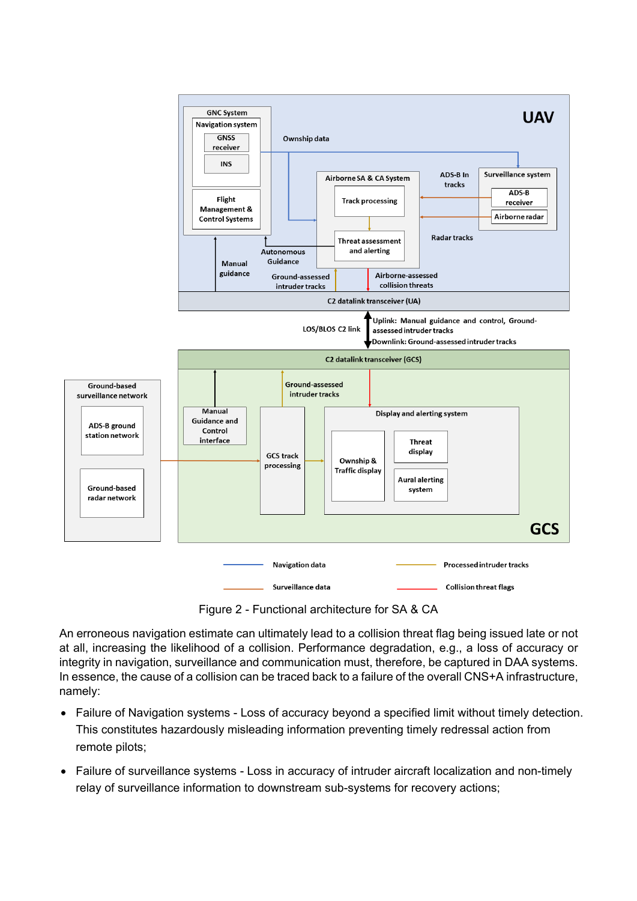

Figure 2 - Functional architecture for SA & CA

<span id="page-3-0"></span>An erroneous navigation estimate can ultimately lead to a collision threat flag being issued late or not at all, increasing the likelihood of a collision. Performance degradation, e.g., a loss of accuracy or integrity in navigation, surveillance and communication must, therefore, be captured in DAA systems. In essence, the cause of a collision can be traced back to a failure of the overall CNS+A infrastructure, namely:

- Failure of Navigation systems Loss of accuracy beyond a specified limit without timely detection. This constitutes hazardously misleading information preventing timely redressal action from remote pilots;
- Failure of surveillance systems Loss in accuracy of intruder aircraft localization and non-timely relay of surveillance information to downstream sub-systems for recovery actions;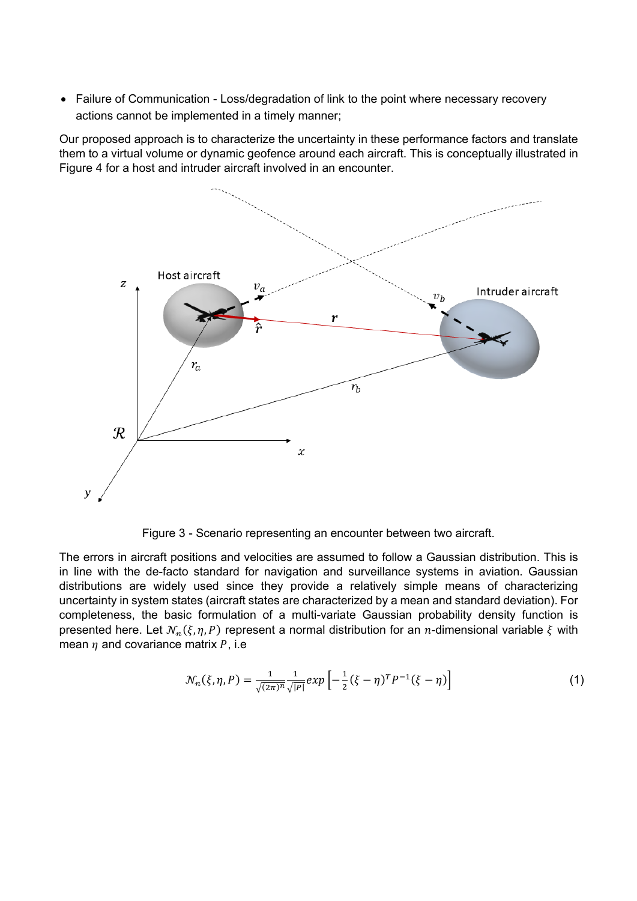• Failure of Communication - Loss/degradation of link to the point where necessary recovery actions cannot be implemented in a timely manner;

Our proposed approach is to characterize the uncertainty in these performance factors and translate them to a virtual volume or dynamic geofence around each aircraft. This is conceptually illustrated in [Figure 4](#page-4-0) for a host and intruder aircraft involved in an encounter.



Figure 3 - Scenario representing an encounter between two aircraft.

<span id="page-4-0"></span>The errors in aircraft positions and velocities are assumed to follow a Gaussian distribution. This is in line with the de-facto standard for navigation and surveillance systems in aviation. Gaussian distributions are widely used since they provide a relatively simple means of characterizing uncertainty in system states (aircraft states are characterized by a mean and standard deviation). For completeness, the basic formulation of a multi-variate Gaussian probability density function is presented here. Let  $\mathcal{N}_n(\xi, \eta, P)$  represent a normal distribution for an *n*-dimensional variable  $\xi$  with mean  $\eta$  and covariance matrix  $P$ , i.e

$$
\mathcal{N}_n(\xi, \eta, P) = \frac{1}{\sqrt{(2\pi)^n}} \frac{1}{\sqrt{|P|}} exp\left[-\frac{1}{2}(\xi - \eta)^T P^{-1}(\xi - \eta)\right]
$$
(1)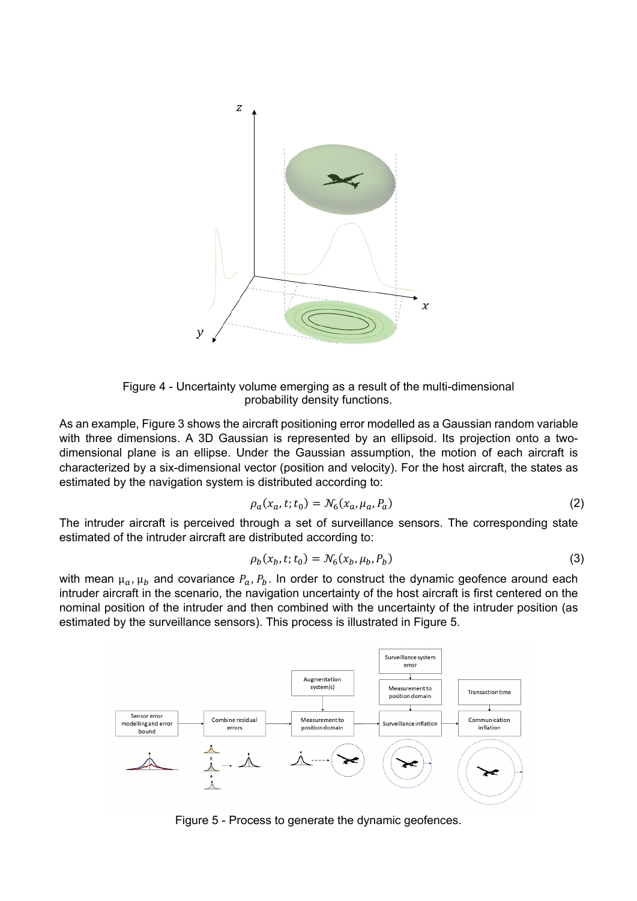

Figure 4 - Uncertainty volume emerging as a result of the multi-dimensional probability density functions.

<span id="page-5-0"></span>As an example[, Figure 3](#page-5-0) shows the aircraft positioning error modelled as a Gaussian random variable with three dimensions. A 3D Gaussian is represented by an ellipsoid. Its projection onto a twodimensional plane is an ellipse. Under the Gaussian assumption, the motion of each aircraft is characterized by a six-dimensional vector (position and velocity). For the host aircraft, the states as estimated by the navigation system is distributed according to:

$$
\rho_a(x_a, t; t_0) = \mathcal{N}_6(x_a, \mu_a, P_a)
$$
\n(2)

The intruder aircraft is perceived through a set of surveillance sensors. The corresponding state estimated of the intruder aircraft are distributed according to:

$$
\rho_b(x_b, t; t_0) = \mathcal{N}_6(x_b, \mu_b, P_b)
$$
\n(3)

with mean  $\mu_a$ ,  $\mu_b$  and covariance  $P_a$ ,  $P_b$ . In order to construct the dynamic geofence around each intruder aircraft in the scenario, the navigation uncertainty of the host aircraft is first centered on the nominal position of the intruder and then combined with the uncertainty of the intruder position (as estimated by the surveillance sensors). This process is illustrated in [Figure 5.](#page-5-1)



<span id="page-5-1"></span>Figure 5 - Process to generate the dynamic geofences.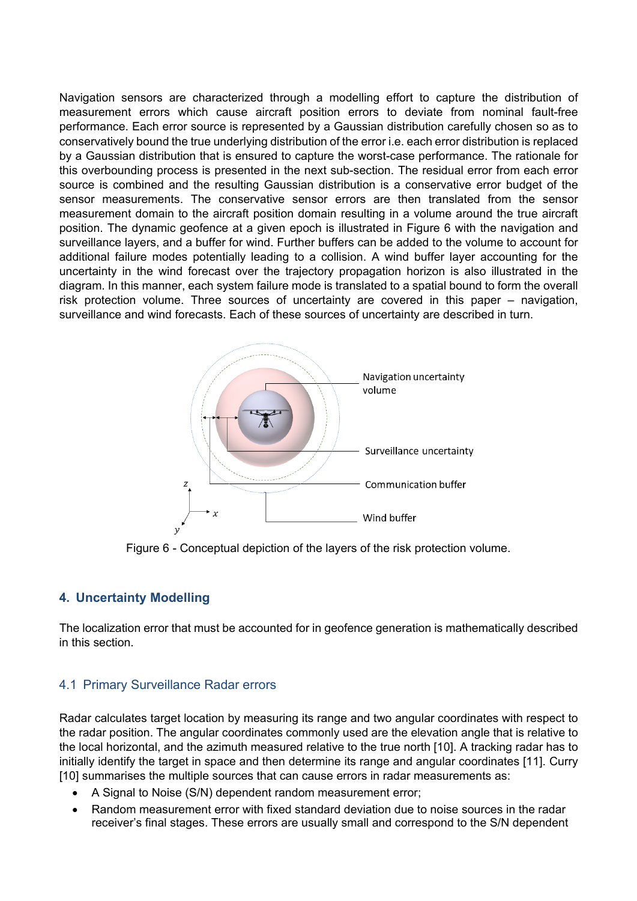Navigation sensors are characterized through a modelling effort to capture the distribution of measurement errors which cause aircraft position errors to deviate from nominal fault-free performance. Each error source is represented by a Gaussian distribution carefully chosen so as to conservatively bound the true underlying distribution of the error i.e. each error distribution is replaced by a Gaussian distribution that is ensured to capture the worst-case performance. The rationale for this overbounding process is presented in the next sub-section. The residual error from each error source is combined and the resulting Gaussian distribution is a conservative error budget of the sensor measurements. The conservative sensor errors are then translated from the sensor measurement domain to the aircraft position domain resulting in a volume around the true aircraft position. The dynamic geofence at a given epoch is illustrated in [Figure 6](#page-6-0) with the navigation and surveillance layers, and a buffer for wind. Further buffers can be added to the volume to account for additional failure modes potentially leading to a collision. A wind buffer layer accounting for the uncertainty in the wind forecast over the trajectory propagation horizon is also illustrated in the diagram. In this manner, each system failure mode is translated to a spatial bound to form the overall risk protection volume. Three sources of uncertainty are covered in this paper – navigation, surveillance and wind forecasts. Each of these sources of uncertainty are described in turn.



Figure 6 - Conceptual depiction of the layers of the risk protection volume.

## <span id="page-6-0"></span>**4. Uncertainty Modelling**

The localization error that must be accounted for in geofence generation is mathematically described in this section.

## 4.1 Primary Surveillance Radar errors

Radar calculates target location by measuring its range and two angular coordinates with respect to the radar position. The angular coordinates commonly used are the elevation angle that is relative to the local horizontal, and the azimuth measured relative to the true north [10]. A tracking radar has to initially identify the target in space and then determine its range and angular coordinates [11]. Curry [10] summarises the multiple sources that can cause errors in radar measurements as:

- A Signal to Noise (S/N) dependent random measurement error;
- Random measurement error with fixed standard deviation due to noise sources in the radar receiver's final stages. These errors are usually small and correspond to the S/N dependent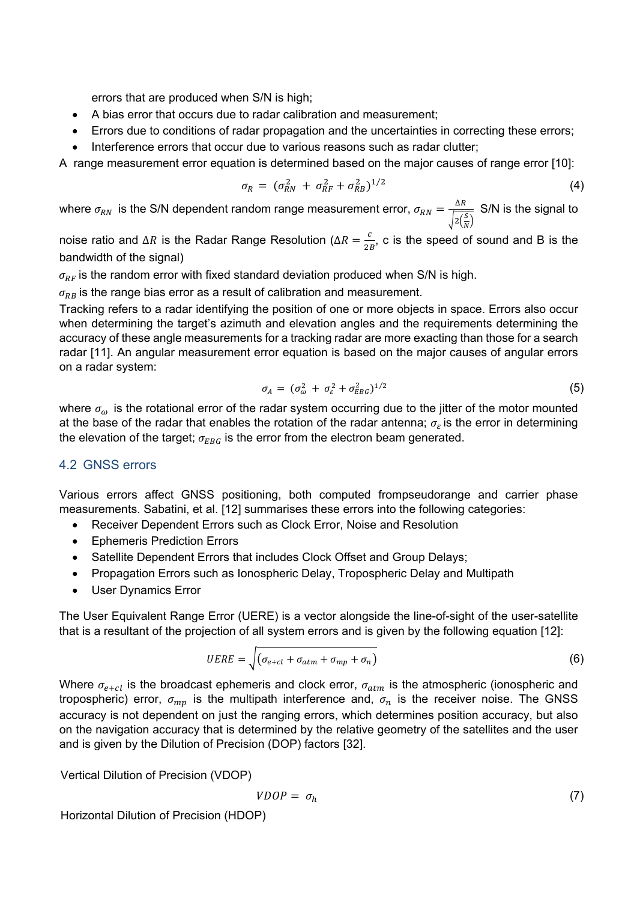errors that are produced when S/N is high;

- A bias error that occurs due to radar calibration and measurement;
- Errors due to conditions of radar propagation and the uncertainties in correcting these errors;
- Interference errors that occur due to various reasons such as radar clutter;

A range measurement error equation is determined based on the major causes of range error [10]:

$$
\sigma_R = (\sigma_{RN}^2 + \sigma_{RF}^2 + \sigma_{RB}^2)^{1/2}
$$
 (4)

where  $\sigma_{RN}$  is the S/N dependent random range measurement error,  $\sigma_{RN} = \frac{\Delta R}{\sqrt{N}}$  $\sqrt{2\left(\frac{S}{N}\right)}$ S/N is the signal to

noise ratio and ∆*R* is the Radar Range Resolution ( $\Delta R = \frac{c}{2B}$ , c is the speed of sound and B is the bandwidth of the signal)

 $\sigma_{RF}$  is the random error with fixed standard deviation produced when S/N is high.

 $\sigma_{RB}$  is the range bias error as a result of calibration and measurement.

Tracking refers to a radar identifying the position of one or more objects in space. Errors also occur when determining the target's azimuth and elevation angles and the requirements determining the accuracy of these angle measurements for a tracking radar are more exacting than those for a search radar [11]. An angular measurement error equation is based on the major causes of angular errors on a radar system:

$$
\sigma_A = (\sigma_\omega^2 + \sigma_\varepsilon^2 + \sigma_{EBG}^2)^{1/2} \tag{5}
$$

where  $\sigma_{\omega}$  is the rotational error of the radar system occurring due to the jitter of the motor mounted at the base of the radar that enables the rotation of the radar antenna;  $\sigma_{\varepsilon}$  is the error in determining the elevation of the target;  $\sigma_{EBG}$  is the error from the electron beam generated.

### 4.2 GNSS errors

Various errors affect GNSS positioning, both computed frompseudorange and carrier phase measurements. Sabatini, et al. [12] summarises these errors into the following categories:

- Receiver Dependent Errors such as Clock Error, Noise and Resolution
- Ephemeris Prediction Errors
- Satellite Dependent Errors that includes Clock Offset and Group Delays;
- Propagation Errors such as Ionospheric Delay, Tropospheric Delay and Multipath
- User Dynamics Error

The User Equivalent Range Error (UERE) is a vector alongside the line-of-sight of the user-satellite that is a resultant of the projection of all system errors and is given by the following equation [12]:

$$
UERE = \sqrt{(\sigma_{e+cl} + \sigma_{atm} + \sigma_{mp} + \sigma_n)}
$$
 (6)

Where  $\sigma_{e+cl}$  is the broadcast ephemeris and clock error,  $\sigma_{atm}$  is the atmospheric (ionospheric and tropospheric) error,  $\sigma_{mp}$  is the multipath interference and,  $\sigma_n$  is the receiver noise. The GNSS accuracy is not dependent on just the ranging errors, which determines position accuracy, but also on the navigation accuracy that is determined by the relative geometry of the satellites and the user and is given by the Dilution of Precision (DOP) factors [32].

Vertical Dilution of Precision (VDOP)

$$
VDOP = \sigma_h \tag{7}
$$

Horizontal Dilution of Precision (HDOP)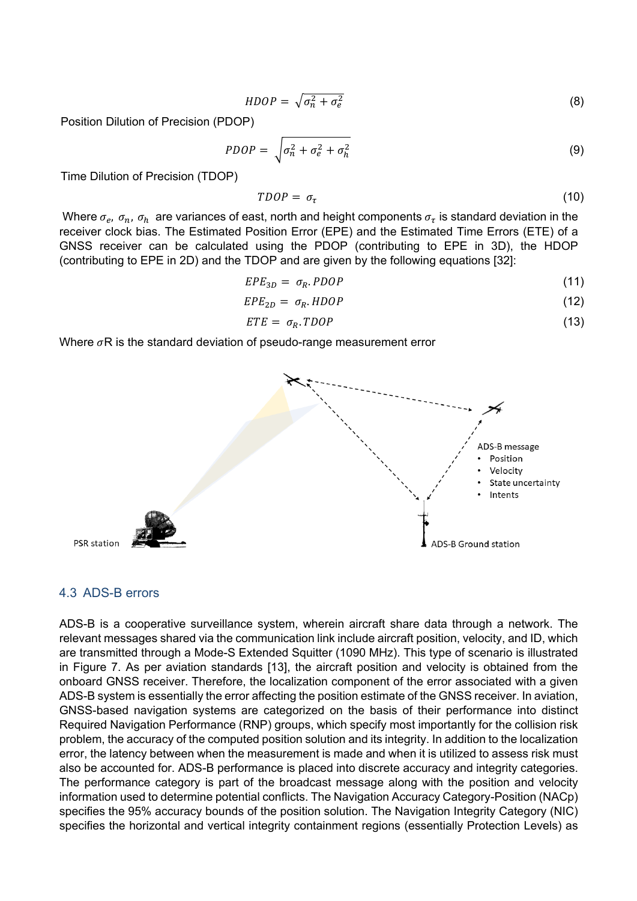$$
HDOP = \sqrt{\sigma_n^2 + \sigma_e^2} \tag{8}
$$

Position Dilution of Precision (PDOP)

$$
PDOP = \sqrt{\sigma_n^2 + \sigma_e^2 + \sigma_h^2}
$$
 (9)

Time Dilution of Precision (TDOP)

$$
TDOP = \sigma_{\tau} \tag{10}
$$

Where  $\sigma_e$ ,  $\sigma_n$ ,  $\sigma_h$  are variances of east, north and height components  $\sigma_{\tau}$  is standard deviation in the receiver clock bias. The Estimated Position Error (EPE) and the Estimated Time Errors (ETE) of a GNSS receiver can be calculated using the PDOP (contributing to EPE in 3D), the HDOP (contributing to EPE in 2D) and the TDOP and are given by the following equations [32]:

$$
EPE_{3D} = \sigma_R. PDOP \tag{11}
$$

$$
EPE_{2D} = \sigma_R . HDOP \tag{12}
$$

$$
ETE = \sigma_R \cdot TDOP \tag{13}
$$

Where  $\sigma$ R is the standard deviation of pseudo-range measurement error



#### <span id="page-8-0"></span>4.3 ADS-B errors

ADS-B is a cooperative surveillance system, wherein aircraft share data through a network. The relevant messages shared via the communication link include aircraft position, velocity, and ID, which are transmitted through a Mode-S Extended Squitter (1090 MHz). This type of scenario is illustrated in [Figure 7.](#page-8-0) As per aviation standards [13], the aircraft position and velocity is obtained from the onboard GNSS receiver. Therefore, the localization component of the error associated with a given ADS-B system is essentially the error affecting the position estimate of the GNSS receiver. In aviation, GNSS-based navigation systems are categorized on the basis of their performance into distinct Required Navigation Performance (RNP) groups, which specify most importantly for the collision risk problem, the accuracy of the computed position solution and its integrity. In addition to the localization error, the latency between when the measurement is made and when it is utilized to assess risk must also be accounted for. ADS-B performance is placed into discrete accuracy and integrity categories. The performance category is part of the broadcast message along with the position and velocity information used to determine potential conflicts. The Navigation Accuracy Category-Position (NACp) specifies the 95% accuracy bounds of the position solution. The Navigation Integrity Category (NIC) specifies the horizontal and vertical integrity containment regions (essentially Protection Levels) as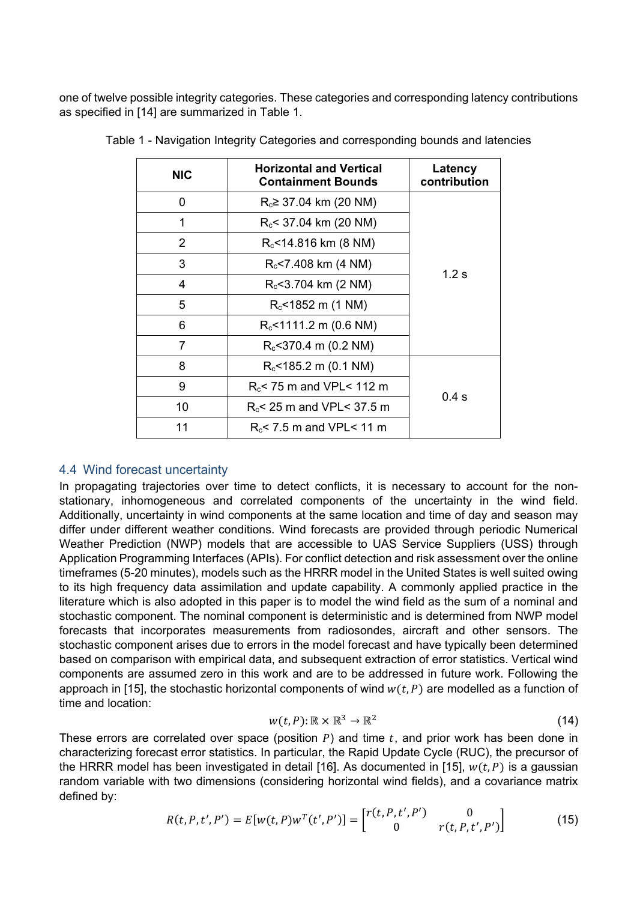<span id="page-9-0"></span>one of twelve possible integrity categories. These categories and corresponding latency contributions as specified in [14] are summarized in [Table 1.](#page-9-0)

| <b>NIC</b>     | <b>Horizontal and Vertical</b><br><b>Containment Bounds</b> | Latency<br>contribution |
|----------------|-------------------------------------------------------------|-------------------------|
| 0              | $R_c \geq 37.04$ km (20 NM)                                 |                         |
| 1              | $R_c$ < 37.04 km (20 NM)                                    |                         |
| $\overline{2}$ | $R_c$ <14.816 km (8 NM)                                     |                         |
| 3              | $R_c$ <7.408 km (4 NM)                                      |                         |
| 4              | $R_c$ <3.704 km (2 NM)                                      | 1.2 $s$                 |
| 5              | $R_c$ <1852 m (1 NM)                                        |                         |
| 6              | $R_c$ <1111.2 m (0.6 NM)                                    |                         |
| $\overline{7}$ | $R_c$ <370.4 m (0.2 NM)                                     |                         |
| 8              | $R_c$ <185.2 m (0.1 NM)                                     |                         |
| 9              | $R_c$ < 75 m and VPL < 112 m                                |                         |
| 10             | $R_c$ < 25 m and VPL < 37.5 m                               | 0.4s                    |
| 11             | $R_c$ < 7.5 m and VPL < 11 m                                |                         |

Table 1 - Navigation Integrity Categories and corresponding bounds and latencies

#### 4.4 Wind forecast uncertainty

In propagating trajectories over time to detect conflicts, it is necessary to account for the nonstationary, inhomogeneous and correlated components of the uncertainty in the wind field. Additionally, uncertainty in wind components at the same location and time of day and season may differ under different weather conditions. Wind forecasts are provided through periodic Numerical Weather Prediction (NWP) models that are accessible to UAS Service Suppliers (USS) through Application Programming Interfaces (APIs). For conflict detection and risk assessment over the online timeframes (5-20 minutes), models such as the HRRR model in the United States is well suited owing to its high frequency data assimilation and update capability. A commonly applied practice in the literature which is also adopted in this paper is to model the wind field as the sum of a nominal and stochastic component. The nominal component is deterministic and is determined from NWP model forecasts that incorporates measurements from radiosondes, aircraft and other sensors. The stochastic component arises due to errors in the model forecast and have typically been determined based on comparison with empirical data, and subsequent extraction of error statistics. Vertical wind components are assumed zero in this work and are to be addressed in future work. Following the approach in [15], the stochastic horizontal components of wind  $w(t, P)$  are modelled as a function of time and location:

$$
w(t, P) : \mathbb{R} \times \mathbb{R}^3 \to \mathbb{R}^2
$$
 (14)

These errors are correlated over space (position  $P$ ) and time  $t$ , and prior work has been done in characterizing forecast error statistics. In particular, the Rapid Update Cycle (RUC), the precursor of the HRRR model has been investigated in detail [16]. As documented in [15],  $w(t, P)$  is a gaussian random variable with two dimensions (considering horizontal wind fields), and a covariance matrix defined by:

$$
R(t, P, t', P') = E[w(t, P)w^{T}(t', P')] = \begin{bmatrix} r(t, P, t', P') & 0 \\ 0 & r(t, P, t', P') \end{bmatrix}
$$
(15)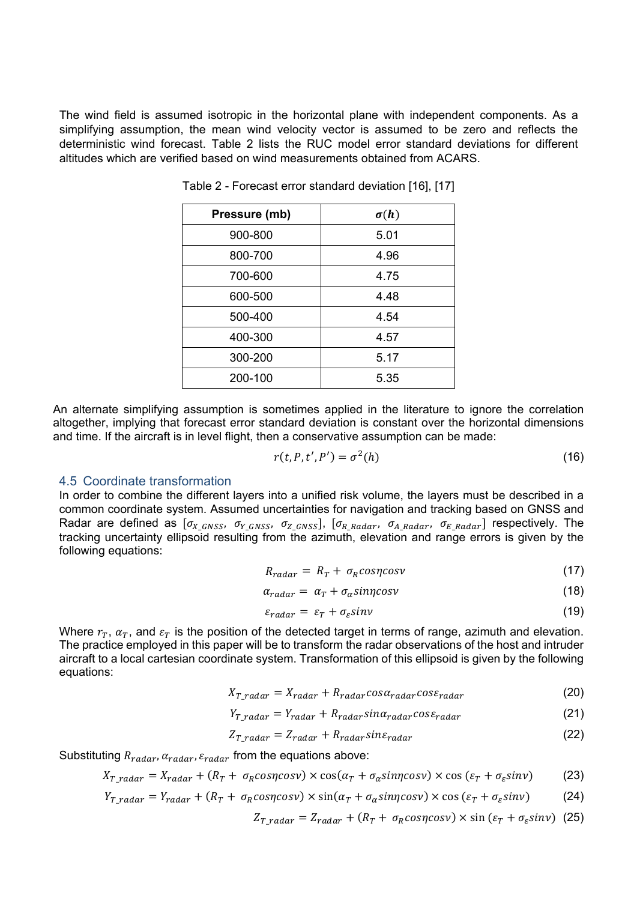<span id="page-10-0"></span>The wind field is assumed isotropic in the horizontal plane with independent components. As a simplifying assumption, the mean wind velocity vector is assumed to be zero and reflects the deterministic wind forecast. [Table 2](#page-10-0) lists the RUC model error standard deviations for different altitudes which are verified based on wind measurements obtained from ACARS.

| Pressure (mb) | $\sigma(h)$ |
|---------------|-------------|
| 900-800       | 5.01        |
| 800-700       | 4.96        |
| 700-600       | 4.75        |
| 600-500       | 4.48        |
| 500-400       | 4.54        |
| 400-300       | 4.57        |
| 300-200       | 5.17        |
| 200-100       | 5.35        |

Table 2 - Forecast error standard deviation [16], [17]

An alternate simplifying assumption is sometimes applied in the literature to ignore the correlation altogether, implying that forecast error standard deviation is constant over the horizontal dimensions and time. If the aircraft is in level flight, then a conservative assumption can be made:

$$
r(t, P, t', P') = \sigma^2(h) \tag{16}
$$

#### 4.5 Coordinate transformation

In order to combine the different layers into a unified risk volume, the layers must be described in a common coordinate system. Assumed uncertainties for navigation and tracking based on GNSS and Radar are defined as  $[\sigma_{X_{GRSS}}, \sigma_{Y_{GRSS}}, \sigma_{Z_{GRSS}}]$ ,  $[\sigma_{R_Radar}, \sigma_{A_Radar}, \sigma_{E_Radar}]$  respectively. The tracking uncertainty ellipsoid resulting from the azimuth, elevation and range errors is given by the following equations:

$$
R_{radar} = R_T + \sigma_R \cos\eta \cos\nu \tag{17}
$$

$$
\alpha_{radar} = \alpha_T + \sigma_{\alpha} \text{sin} \eta \text{cos} \nu \tag{18}
$$

$$
\varepsilon_{radar} = \varepsilon_T + \sigma_\varepsilon sinv \tag{19}
$$

Where  $r_T$ ,  $\alpha_T$ , and  $\varepsilon_T$  is the position of the detected target in terms of range, azimuth and elevation. The practice employed in this paper will be to transform the radar observations of the host and intruder aircraft to a local cartesian coordinate system. Transformation of this ellipsoid is given by the following equations:

$$
X_{T\_radar} = X_{radar} + R_{radar} \cos \alpha_{radar} \cos \varepsilon_{radar}
$$
 (20)

$$
Y_{T\_radar} = Y_{radar} + R_{radar} sin \alpha_{radar} cos \varepsilon_{radar}
$$
 (21)

$$
Z_{T\_radar} = Z_{radar} + R_{radar} sin \varepsilon_{radar}
$$
 (22)

Substituting  $R_{radar}$ ,  $\alpha_{radar}$ ,  $\varepsilon_{radar}$  from the equations above:

$$
X_{T\_radar} = X_{radar} + (R_T + \sigma_R \cos\eta \cos\nu) \times \cos(\alpha_T + \sigma_\alpha \sin\eta \cos\nu) \times \cos(\varepsilon_T + \sigma_\varepsilon \sin\nu) \tag{23}
$$

$$
Y_{T\_radar} = Y_{radar} + (R_T + \sigma_R \cos\eta \cos\nu) \times \sin(\alpha_T + \sigma_\alpha \sin\eta \cos\nu) \times \cos(\varepsilon_T + \sigma_\varepsilon \sin\nu) \tag{24}
$$

$$
Z_{T\_radar} = Z_{radar} + (R_T + \sigma_R \cos\eta \cos\nu) \times \sin\left(\varepsilon_T + \sigma_\varepsilon \sin\nu\right) \tag{25}
$$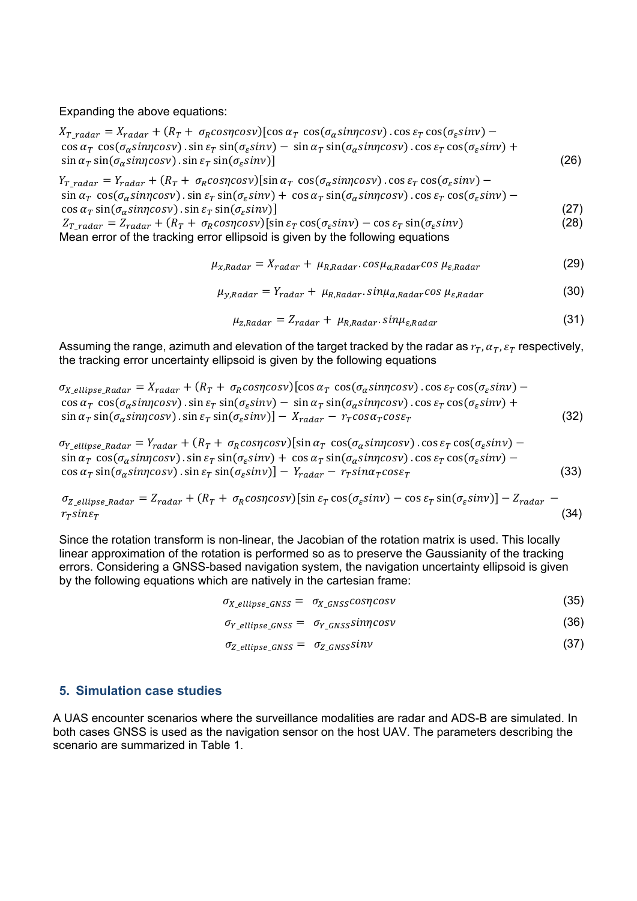Expanding the above equations:

 $X_{T\_radar} = X_{radar} + (R_T + \sigma_R cos\eta cos\nu) [cos\alpha_T cos(\sigma_\alpha sin\eta cos\nu) . cos\epsilon_T cos(\sigma_\epsilon sin\nu) \cos \alpha_T \cos(\sigma_\alpha \sin \gamma \cos \gamma)$ .  $\sin \varepsilon_T \sin(\sigma_\alpha \sin \gamma) - \sin \alpha_T \sin(\sigma_\alpha \sin \gamma \cos \gamma)$ .  $\cos \varepsilon_T \cos(\sigma_\alpha \sin \gamma) + \cos \varepsilon_T \cos(\sigma_\alpha \sin \gamma)$  $\sin \alpha_{\tau} \sin(\sigma_{\alpha} \sin n \cos \nu)$ .  $\sin \epsilon_{\tau} \sin(\sigma_{\epsilon} \sin \nu)$ ] (26)

 $Y_{T\ radar} = Y_{radar} + (R_T + \sigma_R cos\eta cos\nu)$ [sin  $\alpha_T cos(\sigma_\alpha sin\eta cos\nu)$ . cos  $\varepsilon_T cos(\sigma_\varepsilon sin\nu)$  –  $\sin \alpha_T \cos(\sigma_\alpha \sin \eta \cos \nu)$ .  $\sin \varepsilon_T \sin(\sigma_\varepsilon \sin \nu) + \cos \alpha_T \sin(\sigma_\alpha \sin \eta \cos \nu)$ .  $\cos \varepsilon_T \cos(\sigma_\varepsilon \sin \nu)$  –  $\cos \alpha_T \sin(\sigma_\alpha \sin\eta \cos\nu) \cdot \sin \varepsilon_T \sin(\sigma_\varepsilon \sin\nu)$ <br>  $Z_{T \text{ radar}} = Z_{\text{radar}} + (R_T + \sigma_R \cos\eta \cos\nu) [\sin \varepsilon_T \cos(\sigma_\varepsilon \sin\nu) - \cos \varepsilon_T \sin(\sigma_\varepsilon \sin\nu)$  (28)  $Z_{T\ radar} = Z_{radar} + (R_T + \sigma_R cos\eta cos\nu)$ [sin  $\varepsilon_T cos(\sigma_\varepsilon sin\nu) - cos \varepsilon_T sin(\sigma_\varepsilon sin\nu)$ Mean error of the tracking error ellipsoid is given by the following equations

$$
\mu_{x,Radar} = X_{radar} + \mu_{R,Radar} \cos \mu_{\alpha,Radar} \cos \mu_{\varepsilon,Radar} \tag{29}
$$

$$
\mu_{y,Radar} = Y_{radar} + \mu_{R,Radar} \sin \mu_{\alpha, Radar} \cos \mu_{\varepsilon, Radar} \tag{30}
$$

$$
\mu_{z,Radar} = Z_{radar} + \mu_{R,Radar} \cdot \sin \mu_{\varepsilon,Radar} \tag{31}
$$

Assuming the range, azimuth and elevation of the target tracked by the radar as  $r_T$ ,  $\alpha_T$ ,  $\varepsilon_T$  respectively, the tracking error uncertainty ellipsoid is given by the following equations

$$
\sigma_{X_{\text{ellipse\_Radar}}} = X_{\text{radar}} + (R_T + \sigma_R \cos\eta \cos\gamma) [\cos\alpha_T \cos(\sigma_\alpha \sin\eta \cos\gamma) \cdot \cos\epsilon_T \cos(\sigma_\epsilon \sin\gamma) - \cos\alpha_T \cos(\sigma_\alpha \sin\eta \cos\gamma) \cdot \sin\epsilon_T \sin(\sigma_\epsilon \sin\gamma) - \sin\alpha_T \sin(\sigma_\alpha \sin\eta \cos\gamma) \cdot \cos\epsilon_T \cos(\sigma_\epsilon \sin\gamma) + \sin(\sigma_\alpha \sin\eta \cos\gamma) \cdot \sin\epsilon_T \sin(\sigma_\epsilon \sin\gamma) - X_{\text{radar}} - r_{\text{r}} \cos\alpha_T \cos\epsilon_T \tag{32}
$$

 $\sigma_{Y\_ellipse\_Radar} = Y_{radar} + (R_T + \sigma_R cos\eta cos\nu)$ [sin  $\alpha_T cos(\sigma_\alpha sin\eta cos\nu)$ .cos  $\varepsilon_T cos(\sigma_\varepsilon sin\nu)$  –  $\sin \alpha_T \cos(\sigma_\alpha \sin \eta \cos \nu)$ .  $\sin \varepsilon_T \sin(\sigma_\varepsilon \sin \nu) + \cos \alpha_T \sin(\sigma_\alpha \sin \eta \cos \nu)$ .  $\cos \varepsilon_T \cos(\sigma_\varepsilon \sin \nu)$  –  $\cos \alpha_T \sin(\sigma_\alpha \sin\varphi \cos\nu)$ .  $\sin \varepsilon_T \sin(\sigma_\varepsilon \sin\nu)$   $- Y_{radar} - r_T \sin \alpha_T \cos\nu_T$  (33)

 $\sigma_{Z \; ellinse \; Radar} = Z_{radar} + (R_T + \sigma_R cos\eta cos\nu)$ [sin  $\varepsilon_T cos(\sigma_\varepsilon sin\nu) - cos \varepsilon_T sin(\sigma_\varepsilon sin\nu)$ ] –  $Z_{radar}$   $r_T sin \varepsilon_T$  (34)

Since the rotation transform is non-linear, the Jacobian of the rotation matrix is used. This locally linear approximation of the rotation is performed so as to preserve the Gaussianity of the tracking errors. Considering a GNSS-based navigation system, the navigation uncertainty ellipsoid is given by the following equations which are natively in the cartesian frame:

 $\sigma_{X\_ellipse\_GNSS} = \sigma_{X\_GNSS} cos \eta cos \nu$  (35)

$$
\sigma_{Y\_ellipse\_GNSS} = \sigma_{Y\_GNSS} \sin \eta \cos \nu \tag{36}
$$

$$
\sigma_{Z\_ellipse\_GNSS} = \sigma_{Z\_GNSS} \sin \nu \tag{37}
$$

#### **5. Simulation case studies**

A UAS encounter scenarios where the surveillance modalities are radar and ADS-B are simulated. In both cases GNSS is used as the navigation sensor on the host UAV. The parameters describing the scenario are summarized in Table 1.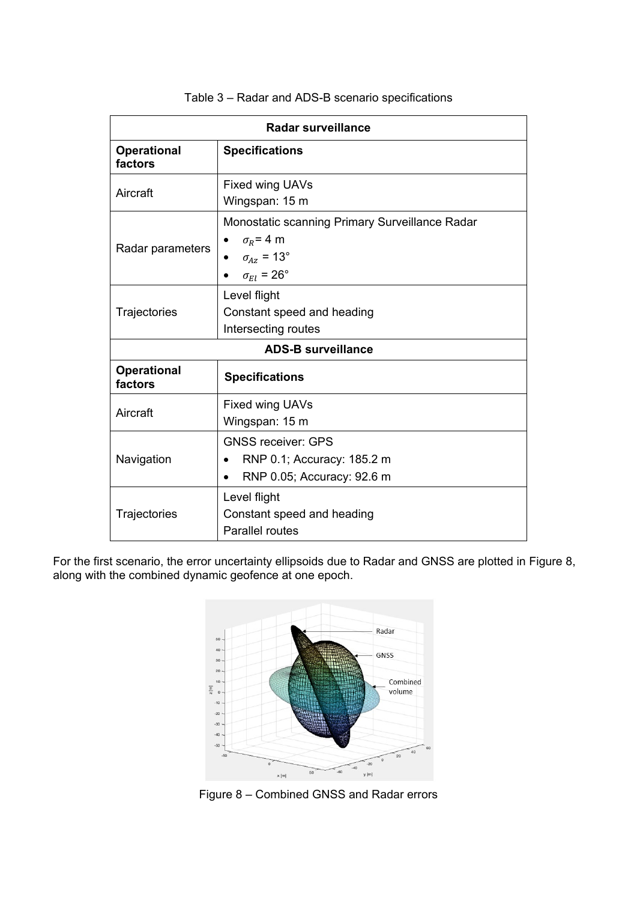| <b>Radar surveillance</b>     |                                                                                                                  |  |  |
|-------------------------------|------------------------------------------------------------------------------------------------------------------|--|--|
| <b>Operational</b><br>factors | <b>Specifications</b>                                                                                            |  |  |
| Aircraft                      | Fixed wing UAVs<br>Wingspan: 15 m                                                                                |  |  |
| Radar parameters              | Monostatic scanning Primary Surveillance Radar<br>$\sigma_R$ = 4 m<br>$\sigma_{Az}$ = 13°<br>$\sigma_{El}$ = 26° |  |  |
| Trajectories                  | Level flight<br>Constant speed and heading<br>Intersecting routes                                                |  |  |
| <b>ADS-B surveillance</b>     |                                                                                                                  |  |  |
| <b>Operational</b><br>factors | <b>Specifications</b>                                                                                            |  |  |
| Aircraft                      | Fixed wing UAVs<br>Wingspan: 15 m                                                                                |  |  |
| Navigation                    | <b>GNSS receiver: GPS</b><br>RNP 0.1; Accuracy: 185.2 m<br>RNP 0.05; Accuracy: 92.6 m                            |  |  |
| Trajectories                  | Level flight<br>Constant speed and heading<br><b>Parallel routes</b>                                             |  |  |

### Table 3 – Radar and ADS-B scenario specifications

For the first scenario, the error uncertainty ellipsoids due to Radar and GNSS are plotted in [Figure 8,](#page-12-0) along with the combined dynamic geofence at one epoch.



<span id="page-12-0"></span>Figure 8 – Combined GNSS and Radar errors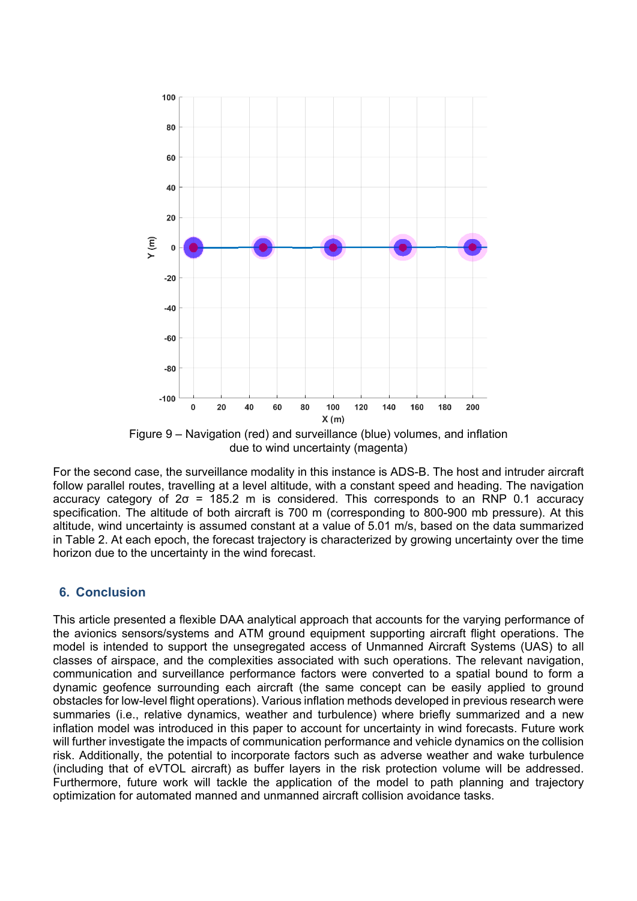

due to wind uncertainty (magenta)

For the second case, the surveillance modality in this instance is ADS-B. The host and intruder aircraft follow parallel routes, travelling at a level altitude, with a constant speed and heading. The navigation accuracy category of  $2\sigma = 185.2$  m is considered. This corresponds to an RNP 0.1 accuracy specification. The altitude of both aircraft is 700 m (corresponding to 800-900 mb pressure). At this altitude, wind uncertainty is assumed constant at a value of 5.01 m/s, based on the data summarized in [Table 2.](#page-10-0) At each epoch, the forecast trajectory is characterized by growing uncertainty over the time horizon due to the uncertainty in the wind forecast.

## **6. Conclusion**

This article presented a flexible DAA analytical approach that accounts for the varying performance of the avionics sensors/systems and ATM ground equipment supporting aircraft flight operations. The model is intended to support the unsegregated access of Unmanned Aircraft Systems (UAS) to all classes of airspace, and the complexities associated with such operations. The relevant navigation, communication and surveillance performance factors were converted to a spatial bound to form a dynamic geofence surrounding each aircraft (the same concept can be easily applied to ground obstacles for low-level flight operations). Various inflation methods developed in previous research were summaries (i.e., relative dynamics, weather and turbulence) where briefly summarized and a new inflation model was introduced in this paper to account for uncertainty in wind forecasts. Future work will further investigate the impacts of communication performance and vehicle dynamics on the collision risk. Additionally, the potential to incorporate factors such as adverse weather and wake turbulence (including that of eVTOL aircraft) as buffer layers in the risk protection volume will be addressed. Furthermore, future work will tackle the application of the model to path planning and trajectory optimization for automated manned and unmanned aircraft collision avoidance tasks.